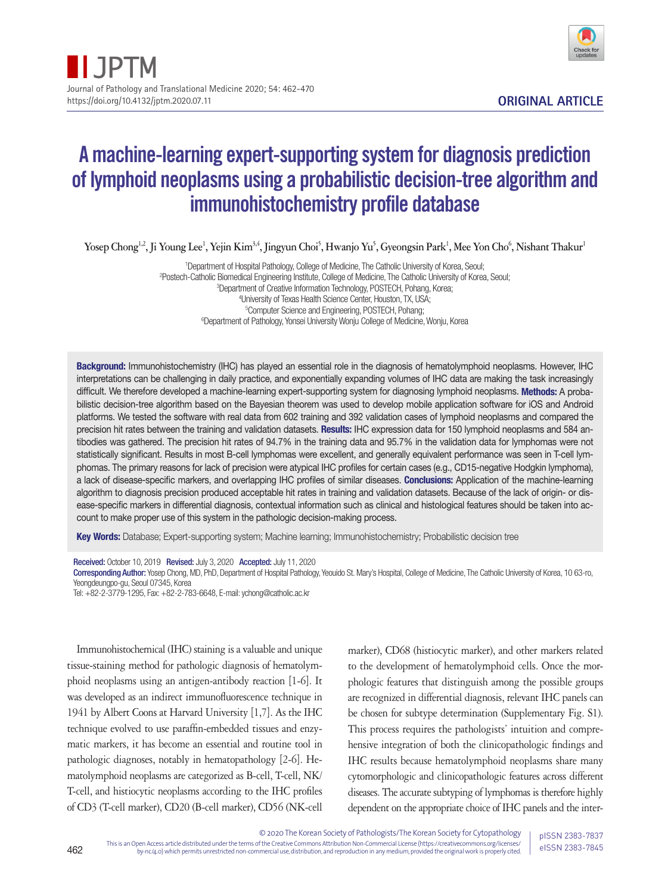

# A machine-learning expert-supporting system for diagnosis prediction of lymphoid neoplasms using a probabilistic decision-tree algorithm and immunohistochemistry profile database

 $Y$ osep Chong<sup>1,2</sup>, Ji Young Lee<sup>1</sup>, Yejin Kim<sup>3,4</sup>, Jingyun Choi<sup>5</sup>, Hwanjo Yu<sup>5</sup>, Gyeongsin Park<sup>1</sup>, Mee Yon Cho<sup>6</sup>, Nishant Thakur<sup>1</sup>

 Department of Hospital Pathology, College of Medicine, The Catholic University of Korea, Seoul; Postech-Catholic Biomedical Engineering Institute, College of Medicine, The Catholic University of Korea, Seoul; Department of Creative Information Technology, POSTECH, Pohang, Korea; University of Texas Health Science Center, Houston, TX, USA; Computer Science and Engineering, POSTECH, Pohang; <sup>6</sup>Department of Pathology, Yonsei University Wonju College of Medicine, Wonju, Korea

Background: Immunohistochemistry (IHC) has played an essential role in the diagnosis of hematolymphoid neoplasms. However, IHC interpretations can be challenging in daily practice, and exponentially expanding volumes of IHC data are making the task increasingly difficult. We therefore developed a machine-learning expert-supporting system for diagnosing lymphoid neoplasms. Methods: A probabilistic decision-tree algorithm based on the Bayesian theorem was used to develop mobile application software for iOS and Android platforms. We tested the software with real data from 602 training and 392 validation cases of lymphoid neoplasms and compared the precision hit rates between the training and validation datasets. Results: IHC expression data for 150 lymphoid neoplasms and 584 antibodies was gathered. The precision hit rates of 94.7% in the training data and 95.7% in the validation data for lymphomas were not statistically significant. Results in most B-cell lymphomas were excellent, and generally equivalent performance was seen in T-cell lymphomas. The primary reasons for lack of precision were atypical IHC profiles for certain cases (e.g., CD15-negative Hodgkin lymphoma), a lack of disease-specific markers, and overlapping IHC profiles of similar diseases. Conclusions: Application of the machine-learning algorithm to diagnosis precision produced acceptable hit rates in training and validation datasets. Because of the lack of origin- or disease-specific markers in differential diagnosis, contextual information such as clinical and histological features should be taken into account to make proper use of this system in the pathologic decision-making process.

Key Words: Database; Expert-supporting system; Machine learning; Immunohistochemistry; Probabilistic decision tree

Received: October 10, 2019 Revised: July 3, 2020 Accepted: July 11, 2020

Corresponding Author: Yosep Chong, MD, PhD, Department of Hospital Pathology, Yeouido St. Mary's Hospital, College of Medicine, The Catholic University of Korea, 10 63-ro, Yeongdeungpo-gu, Seoul 07345, Korea

Tel: +82-2-3779-1295, Fax: +82-2-783-6648, E-mail: ychong@catholic.ac.kr

Immunohistochemical (IHC) staining is a valuable and unique tissue-staining method for pathologic diagnosis of hematolymphoid neoplasms using an antigen-antibody reaction [1-6]. It was developed as an indirect immunofluorescence technique in 1941 by Albert Coons at Harvard University [1,7]. As the IHC technique evolved to use paraffin-embedded tissues and enzymatic markers, it has become an essential and routine tool in pathologic diagnoses, notably in hematopathology [2-6]. Hematolymphoid neoplasms are categorized as B-cell, T-cell, NK/ T-cell, and histiocytic neoplasms according to the IHC profiles of CD3 (T-cell marker), CD20 (B-cell marker), CD56 (NK-cell

marker), CD68 (histiocytic marker), and other markers related to the development of hematolymphoid cells. Once the morphologic features that distinguish among the possible groups are recognized in differential diagnosis, relevant IHC panels can be chosen for subtype determination (Supplementary Fig. S1). This process requires the pathologists' intuition and comprehensive integration of both the clinicopathologic findings and IHC results because hematolymphoid neoplasms share many cytomorphologic and clinicopathologic features across different diseases. The accurate subtyping of lymphomas is therefore highly dependent on the appropriate choice of IHC panels and the inter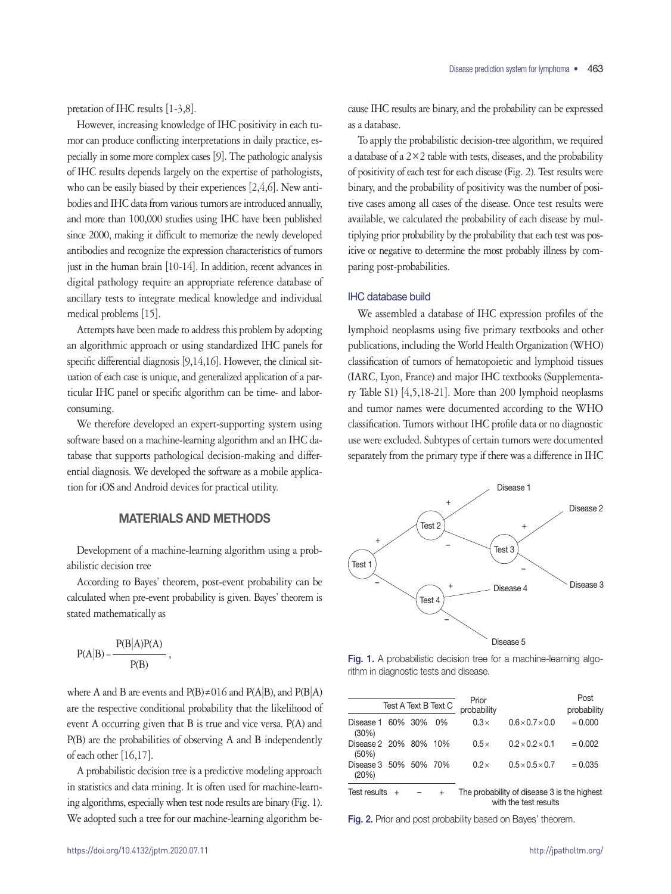pretation of IHC results [1-3,8].

However, increasing knowledge of IHC positivity in each tumor can produce conflicting interpretations in daily practice, especially in some more complex cases [9]. The pathologic analysis of IHC results depends largely on the expertise of pathologists, who can be easily biased by their experiences [2,4,6]. New antibodies and IHC data from various tumors are introduced annually, and more than 100,000 studies using IHC have been published since 2000, making it difficult to memorize the newly developed antibodies and recognize the expression characteristics of tumors just in the human brain [10-14]. In addition, recent advances in digital pathology require an appropriate reference database of ancillary tests to integrate medical knowledge and individual medical problems [15].

Attempts have been made to address this problem by adopting an algorithmic approach or using standardized IHC panels for specific differential diagnosis [9,14,16]. However, the clinical situation of each case is unique, and generalized application of a particular IHC panel or specific algorithm can be time- and laborconsuming.

We therefore developed an expert-supporting system using software based on a machine-learning algorithm and an IHC database that supports pathological decision-making and differential diagnosis. We developed the software as a mobile application for iOS and Android devices for practical utility.

# MATERIALS AND METHODS

Development of a machine-learning algorithm using a probabilistic decision tree

According to Bayes' theorem, post-event probability can be calculated when pre-event probability is given. Bayes' theorem is stated mathematically as

$$
P(A|B) = \frac{P(B|A)P(A)}{P(B)},
$$

where A and B are events and  $P(B) \neq 016$  and  $P(A|B)$ , and  $P(B|A)$ are the respective conditional probability that the likelihood of event A occurring given that B is true and vice versa. P(A) and P(B) are the probabilities of observing A and B independently of each other [16,17].

A probabilistic decision tree is a predictive modeling approach in statistics and data mining. It is often used for machine-learning algorithms, especially when test node results are binary (Fig. 1). We adopted such a tree for our machine-learning algorithm because IHC results are binary, and the probability can be expressed as a database.

To apply the probabilistic decision-tree algorithm, we required a database of a  $2 \times 2$  table with tests, diseases, and the probability of positivity of each test for each disease (Fig. 2). Test results were binary, and the probability of positivity was the number of positive cases among all cases of the disease. Once test results were available, we calculated the probability of each disease by multiplying prior probability by the probability that each test was positive or negative to determine the most probably illness by comparing post-probabilities.

# IHC database build

We assembled a database of IHC expression profiles of the lymphoid neoplasms using five primary textbooks and other publications, including the World Health Organization (WHO) classification of tumors of hematopoietic and lymphoid tissues (IARC, Lyon, France) and major IHC textbooks (Supplementary Table S1) [4,5,18-21]. More than 200 lymphoid neoplasms and tumor names were documented according to the WHO classification. Tumors without IHC profile data or no diagnostic use were excluded. Subtypes of certain tumors were documented separately from the primary type if there was a difference in IHC



Fig. 1. A probabilistic decision tree for a machine-learning algorithm in diagnostic tests and disease.

|                                |     | Test A Text B Text C | Prior<br>probability |                                                                      | Post<br>probability |
|--------------------------------|-----|----------------------|----------------------|----------------------------------------------------------------------|---------------------|
| Disease 1 60% 30%<br>(30%)     |     | 0%                   | $0.3\times$          | $0.6 \times 0.7 \times 0.0$                                          | $= 0.000$           |
| Disease 2 20% 80%<br>(50%)     |     | 10%                  | $0.5\times$          | $0.2 \times 0.2 \times 0.1$                                          | $= 0.002$           |
| Disease 3 50% 50% 70%<br>(20%) |     |                      | $0.2\times$          | $0.5 \times 0.5 \times 0.7$                                          | $= 0.035$           |
| Test results                   | $+$ | $^{+}$               |                      | The probability of disease 3 is the highest<br>with the test results |                     |

Fig. 2. Prior and post probability based on Bayes' theorem.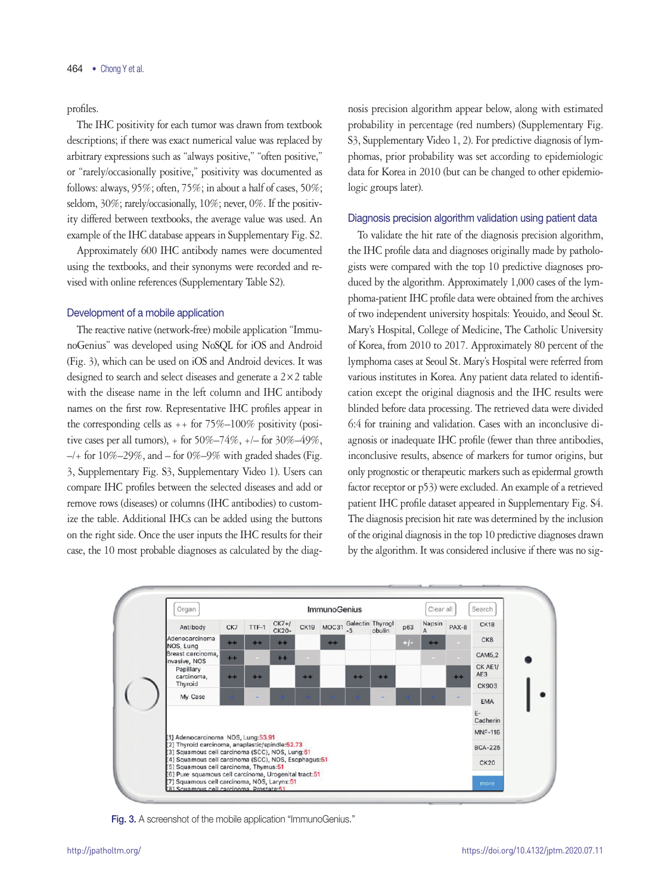profiles.

The IHC positivity for each tumor was drawn from textbook descriptions; if there was exact numerical value was replaced by arbitrary expressions such as "always positive," "often positive," or "rarely/occasionally positive," positivity was documented as follows: always, 95%; often, 75%; in about a half of cases, 50%; seldom, 30%; rarely/occasionally, 10%; never, 0%. If the positivity differed between textbooks, the average value was used. An example of the IHC database appears in Supplementary Fig. S2.

Approximately 600 IHC antibody names were documented using the textbooks, and their synonyms were recorded and revised with online references (Supplementary Table S2).

### Development of a mobile application

The reactive native (network-free) mobile application "ImmunoGenius" was developed using NoSQL for iOS and Android (Fig. 3), which can be used on iOS and Android devices. It was designed to search and select diseases and generate a 2×2 table with the disease name in the left column and IHC antibody names on the first row. Representative IHC profiles appear in the corresponding cells as  $++$  for 75%–100% positivity (positive cases per all tumors),  $+$  for 50%–74%,  $+$  for 30%–49%,  $-/-$  for 10%–29%, and – for 0%–9% with graded shades (Fig. 3, Supplementary Fig. S3, Supplementary Video 1). Users can compare IHC profiles between the selected diseases and add or remove rows (diseases) or columns (IHC antibodies) to customize the table. Additional IHCs can be added using the buttons on the right side. Once the user inputs the IHC results for their case, the 10 most probable diagnoses as calculated by the diag-

nosis precision algorithm appear below, along with estimated probability in percentage (red numbers) (Supplementary Fig. S3, Supplementary Video 1, 2). For predictive diagnosis of lymphomas, prior probability was set according to epidemiologic data for Korea in 2010 (but can be changed to other epidemiologic groups later).

# Diagnosis precision algorithm validation using patient data

To validate the hit rate of the diagnosis precision algorithm, the IHC profile data and diagnoses originally made by pathologists were compared with the top 10 predictive diagnoses produced by the algorithm. Approximately 1,000 cases of the lymphoma-patient IHC profile data were obtained from the archives of two independent university hospitals: Yeouido, and Seoul St. Mary's Hospital, College of Medicine, The Catholic University of Korea, from 2010 to 2017. Approximately 80 percent of the lymphoma cases at Seoul St. Mary's Hospital were referred from various institutes in Korea. Any patient data related to identification except the original diagnosis and the IHC results were blinded before data processing. The retrieved data were divided 6:4 for training and validation. Cases with an inconclusive diagnosis or inadequate IHC profile (fewer than three antibodies, inconclusive results, absence of markers for tumor origins, but only prognostic or therapeutic markers such as epidermal growth factor receptor or p53) were excluded. An example of a retrieved patient IHC profile dataset appeared in Supplementary Fig. S4. The diagnosis precision hit rate was determined by the inclusion of the original diagnosis in the top 10 predictive diagnoses drawn by the algorithm. It was considered inclusive if there was no sig-



Fig. 3. A screenshot of the mobile application "ImmunoGenius."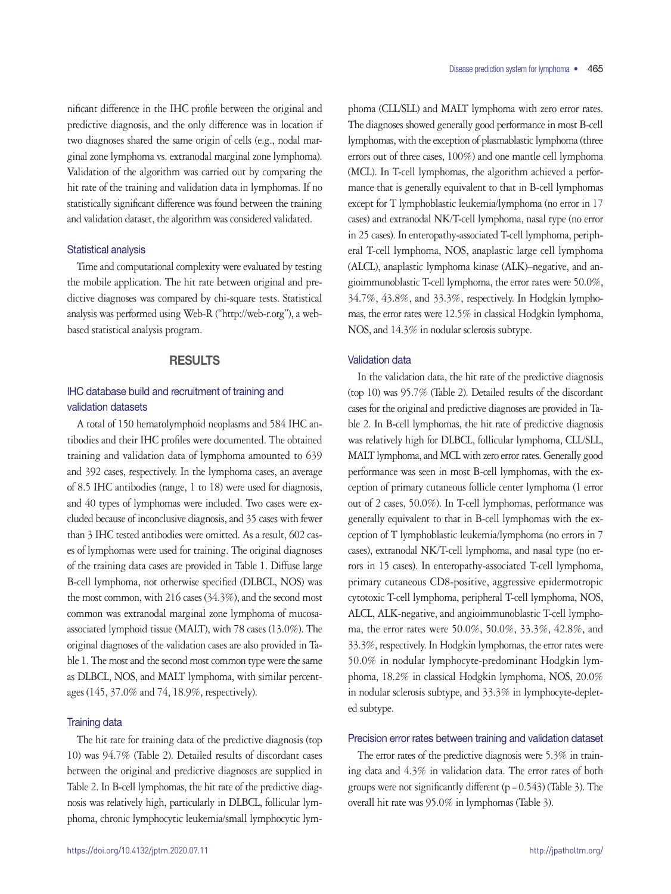nificant difference in the IHC profile between the original and predictive diagnosis, and the only difference was in location if two diagnoses shared the same origin of cells (e.g., nodal marginal zone lymphoma vs. extranodal marginal zone lymphoma). Validation of the algorithm was carried out by comparing the hit rate of the training and validation data in lymphomas. If no statistically significant difference was found between the training and validation dataset, the algorithm was considered validated.

### Statistical analysis

Time and computational complexity were evaluated by testing the mobile application. The hit rate between original and predictive diagnoses was compared by chi-square tests. Statistical analysis was performed using Web-R ("http://web-r.org"), a webbased statistical analysis program.

# RESULTS

# IHC database build and recruitment of training and validation datasets

A total of 150 hematolymphoid neoplasms and 584 IHC antibodies and their IHC profiles were documented. The obtained training and validation data of lymphoma amounted to 639 and 392 cases, respectively. In the lymphoma cases, an average of 8.5 IHC antibodies (range, 1 to 18) were used for diagnosis, and 40 types of lymphomas were included. Two cases were excluded because of inconclusive diagnosis, and 35 cases with fewer than 3 IHC tested antibodies were omitted. As a result, 602 cases of lymphomas were used for training. The original diagnoses of the training data cases are provided in Table 1. Diffuse large B-cell lymphoma, not otherwise specified (DLBCL, NOS) was the most common, with 216 cases (34.3%), and the second most common was extranodal marginal zone lymphoma of mucosaassociated lymphoid tissue (MALT), with 78 cases (13.0%). The original diagnoses of the validation cases are also provided in Table 1. The most and the second most common type were the same as DLBCL, NOS, and MALT lymphoma, with similar percentages (145, 37.0% and 74, 18.9%, respectively).

# Training data

The hit rate for training data of the predictive diagnosis (top 10) was 94.7% (Table 2). Detailed results of discordant cases between the original and predictive diagnoses are supplied in Table 2. In B-cell lymphomas, the hit rate of the predictive diagnosis was relatively high, particularly in DLBCL, follicular lymphoma, chronic lymphocytic leukemia/small lymphocytic lymphoma (CLL/SLL) and MALT lymphoma with zero error rates. The diagnoses showed generally good performance in most B-cell lymphomas, with the exception of plasmablastic lymphoma (three errors out of three cases, 100%) and one mantle cell lymphoma (MCL). In T-cell lymphomas, the algorithm achieved a performance that is generally equivalent to that in B-cell lymphomas except for T lymphoblastic leukemia/lymphoma (no error in 17 cases) and extranodal NK/T-cell lymphoma, nasal type (no error in 25 cases). In enteropathy-associated T-cell lymphoma, peripheral T-cell lymphoma, NOS, anaplastic large cell lymphoma (ALCL), anaplastic lymphoma kinase (ALK)–negative, and angioimmunoblastic T-cell lymphoma, the error rates were 50.0%, 34.7%, 43.8%, and 33.3%, respectively. In Hodgkin lymphomas, the error rates were 12.5% in classical Hodgkin lymphoma, NOS, and 14.3% in nodular sclerosis subtype.

# Validation data

In the validation data, the hit rate of the predictive diagnosis (top 10) was 95.7% (Table 2). Detailed results of the discordant cases for the original and predictive diagnoses are provided in Table 2. In B-cell lymphomas, the hit rate of predictive diagnosis was relatively high for DLBCL, follicular lymphoma, CLL/SLL, MALT lymphoma, and MCL with zero error rates. Generally good performance was seen in most B-cell lymphomas, with the exception of primary cutaneous follicle center lymphoma (1 error out of 2 cases, 50.0%). In T-cell lymphomas, performance was generally equivalent to that in B-cell lymphomas with the exception of T lymphoblastic leukemia/lymphoma (no errors in 7 cases), extranodal NK/T-cell lymphoma, and nasal type (no errors in 15 cases). In enteropathy-associated T-cell lymphoma, primary cutaneous CD8-positive, aggressive epidermotropic cytotoxic T-cell lymphoma, peripheral T-cell lymphoma, NOS, ALCL, ALK-negative, and angioimmunoblastic T-cell lymphoma, the error rates were 50.0%, 50.0%, 33.3%, 42.8%, and 33.3%, respectively. In Hodgkin lymphomas, the error rates were 50.0% in nodular lymphocyte-predominant Hodgkin lymphoma, 18.2% in classical Hodgkin lymphoma, NOS, 20.0% in nodular sclerosis subtype, and 33.3% in lymphocyte-depleted subtype.

# Precision error rates between training and validation dataset

The error rates of the predictive diagnosis were 5.3% in training data and 4.3% in validation data. The error rates of both groups were not significantly different  $(p=0.543)$  (Table 3). The overall hit rate was 95.0% in lymphomas (Table 3).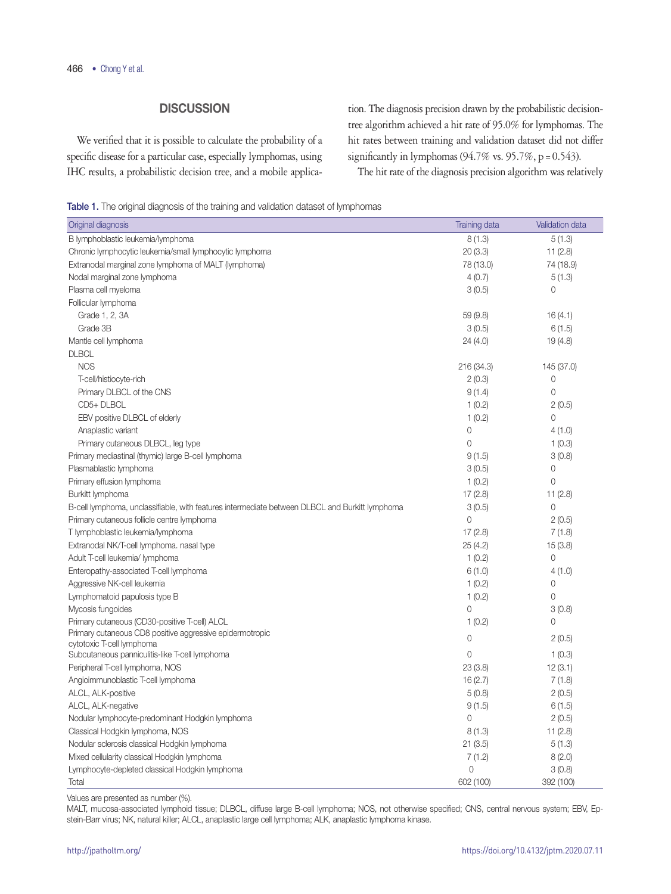# **DISCUSSION**

We verified that it is possible to calculate the probability of a specific disease for a particular case, especially lymphomas, using IHC results, a probabilistic decision tree, and a mobile application. The diagnosis precision drawn by the probabilistic decisiontree algorithm achieved a hit rate of 95.0% for lymphomas. The hit rates between training and validation dataset did not differ significantly in lymphomas (94.7% vs. 95.7%, p = 0.543).

The hit rate of the diagnosis precision algorithm was relatively

Table 1. The original diagnosis of the training and validation dataset of lymphomas

| Original diagnosis                                                                             | <b>Training data</b> | Validation data |
|------------------------------------------------------------------------------------------------|----------------------|-----------------|
| B lymphoblastic leukemia/lymphoma                                                              | 8(1.3)               | 5(1.3)          |
| Chronic lymphocytic leukemia/small lymphocytic lymphoma                                        | 20(3.3)              | 11(2.8)         |
| Extranodal marginal zone lymphoma of MALT (lymphoma)                                           | 78 (13.0)            | 74 (18.9)       |
| Nodal marginal zone lymphoma                                                                   | 4(0.7)               | 5(1.3)          |
| Plasma cell myeloma                                                                            | 3(0.5)               | 0               |
| Follicular lymphoma                                                                            |                      |                 |
| Grade 1, 2, 3A                                                                                 | 59 (9.8)             | 16(4.1)         |
| Grade 3B                                                                                       | 3(0.5)               | 6(1.5)          |
| Mantle cell lymphoma                                                                           | 24 (4.0)             | 19(4.8)         |
| <b>DLBCL</b>                                                                                   |                      |                 |
| <b>NOS</b>                                                                                     | 216 (34.3)           | 145 (37.0)      |
| T-cell/histiocyte-rich                                                                         | 2(0.3)               | 0               |
| Primary DLBCL of the CNS                                                                       | 9(1.4)               | $\mathsf{O}$    |
| CD5+DLBCL                                                                                      | 1(0.2)               | 2(0.5)          |
| EBV positive DLBCL of elderly                                                                  | 1(0.2)               | 0               |
| Anaplastic variant                                                                             | $\circ$              | 4(1.0)          |
| Primary cutaneous DLBCL, leg type                                                              | $\mathbf{0}$         | 1(0.3)          |
| Primary mediastinal (thymic) large B-cell lymphoma                                             | 9(1.5)               | 3(0.8)          |
| Plasmablastic lymphoma                                                                         | 3(0.5)               | 0               |
| Primary effusion lymphoma                                                                      | 1(0.2)               | 0               |
| Burkitt lymphoma                                                                               | 17(2.8)              | 11(2.8)         |
| B-cell lymphoma, unclassifiable, with features intermediate between DLBCL and Burkitt lymphoma | 3(0.5)               | 0               |
| Primary cutaneous follicle centre lymphoma                                                     | $\Omega$             | 2(0.5)          |
| T lymphoblastic leukemia/lymphoma                                                              | 17(2.8)              | 7(1.8)          |
| Extranodal NK/T-cell lymphoma. nasal type                                                      | 25 (4.2)             | 15(3.8)         |
| Adult T-cell leukemia/ lymphoma                                                                | 1(0.2)               | 0               |
| Enteropathy-associated T-cell lymphoma                                                         | 6(1.0)               | 4(1.0)          |
| Aggressive NK-cell leukemia                                                                    | 1(0.2)               | 0               |
| Lymphomatoid papulosis type B                                                                  | 1(0.2)               | 0               |
| Mycosis fungoides                                                                              | $\overline{0}$       | 3(0.8)          |
| Primary cutaneous (CD30-positive T-cell) ALCL                                                  | 1(0.2)               | 0               |
| Primary cutaneous CD8 positive aggressive epidermotropic                                       | 0                    | 2(0.5)          |
| cytotoxic T-cell lymphoma                                                                      |                      |                 |
| Subcutaneous panniculitis-like T-cell lymphoma                                                 | 0                    | 1(0.3)          |
| Peripheral T-cell lymphoma, NOS                                                                | 23(3.8)              | 12(3.1)         |
| Angioimmunoblastic T-cell lymphoma                                                             | 16(2.7)              | 7(1.8)          |
| ALCL, ALK-positive                                                                             | 5(0.8)               | 2(0.5)          |
| ALCL, ALK-negative                                                                             | 9(1.5)               | 6(1.5)          |
| Nodular lymphocyte-predominant Hodgkin lymphoma                                                | $\mathbf{0}$         | 2(0.5)          |
| Classical Hodgkin lymphoma, NOS                                                                | 8(1.3)               | 11(2.8)         |
| Nodular sclerosis classical Hodgkin lymphoma                                                   | 21(3.5)              | 5(1.3)          |
| Mixed cellularity classical Hodgkin lymphoma                                                   | 7(1.2)               | 8(2.0)          |
| Lymphocyte-depleted classical Hodgkin lymphoma                                                 | $\overline{0}$       | 3(0.8)          |
| Total                                                                                          | 602 (100)            | 392 (100)       |

Values are presented as number (%).

MALT, mucosa-associated lymphoid tissue; DLBCL, diffuse large B-cell lymphoma; NOS, not otherwise specified; CNS, central nervous system; EBV, Epstein-Barr virus; NK, natural killer; ALCL, anaplastic large cell lymphoma; ALK, anaplastic lymphoma kinase.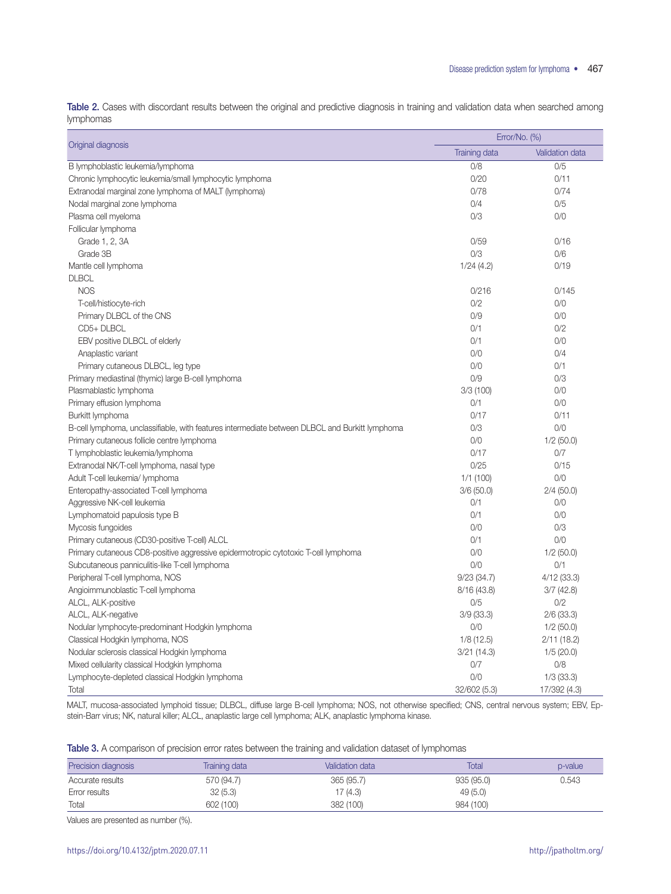Table 2. Cases with discordant results between the original and predictive diagnosis in training and validation data when searched among lymphomas

|                                                                                                | Error/No. (%)        |                        |
|------------------------------------------------------------------------------------------------|----------------------|------------------------|
| Original diagnosis                                                                             | <b>Training data</b> | <b>Validation data</b> |
| B lymphoblastic leukemia/lymphoma                                                              | 0/8                  | 0/5                    |
| Chronic lymphocytic leukemia/small lymphocytic lymphoma                                        | 0/20                 | 0/11                   |
| Extranodal marginal zone lymphoma of MALT (lymphoma)                                           | 0/78                 | 0/74                   |
| Nodal marginal zone lymphoma                                                                   | 0/4                  | 0/5                    |
| Plasma cell myeloma                                                                            | 0/3                  | 0/0                    |
| Follicular lymphoma                                                                            |                      |                        |
| Grade 1, 2, 3A                                                                                 | 0/59                 | 0/16                   |
| Grade 3B                                                                                       | O/3                  | 0/6                    |
| Mantle cell lymphoma                                                                           | 1/24(4.2)            | 0/19                   |
| <b>DLBCL</b>                                                                                   |                      |                        |
| <b>NOS</b>                                                                                     | 0/216                | 0/145                  |
| T-cell/histiocyte-rich                                                                         | 0/2                  | 0/0                    |
| Primary DLBCL of the CNS                                                                       | 0/9                  | 0/0                    |
| CD5+ DLBCL                                                                                     | 0/1                  | 0/2                    |
| EBV positive DLBCL of elderly                                                                  | 0/1                  | 0/0                    |
| Anaplastic variant                                                                             | 0/0                  | 0/4                    |
| Primary cutaneous DLBCL, leg type                                                              | 0/0                  | 0/1                    |
| Primary mediastinal (thymic) large B-cell lymphoma                                             | 0/9                  | 0/3                    |
| Plasmablastic lymphoma                                                                         | 3/3(100)             | 0/0                    |
| Primary effusion lymphoma                                                                      | 0/1                  | 0/0                    |
| Burkitt lymphoma                                                                               | 0/17                 | 0/11                   |
| B-cell lymphoma, unclassifiable, with features intermediate between DLBCL and Burkitt lymphoma | O/3                  | 0/0                    |
| Primary cutaneous follicle centre lymphoma                                                     | 0/0                  | $1/2$ (50.0)           |
| T lymphoblastic leukemia/lymphoma                                                              | 0/17                 | 0/7                    |
| Extranodal NK/T-cell lymphoma, nasal type                                                      | 0/25                 | 0/15                   |
| Adult T-cell leukemia/ lymphoma                                                                | 1/1(100)             | 0/0                    |
| Enteropathy-associated T-cell lymphoma                                                         | 3/6(50.0)            | 2/4(50.0)              |
| Aggressive NK-cell leukemia                                                                    | 0/1                  | 0/0                    |
| Lymphomatoid papulosis type B                                                                  | 0/1                  | 0/0                    |
| Mycosis fungoides                                                                              | 0/0                  | 0/3                    |
| Primary cutaneous (CD30-positive T-cell) ALCL                                                  | 0/1                  | 0/0                    |
| Primary cutaneous CD8-positive aggressive epidermotropic cytotoxic T-cell lymphoma             | 0/0                  | 1/2(50.0)              |
| Subcutaneous panniculitis-like T-cell lymphoma                                                 | 0/0                  | 0/1                    |
| Peripheral T-cell lymphoma, NOS                                                                | 9/23(34.7)           | 4/12(33.3)             |
| Angioimmunoblastic T-cell lymphoma                                                             | 8/16(43.8)           | 3/7(42.8)              |
| ALCL, ALK-positive                                                                             | 0/5                  | 0/2                    |
| ALCL, ALK-negative                                                                             | 3/9(33.3)            | $2/6$ (33.3)           |
| Nodular lymphocyte-predominant Hodgkin lymphoma                                                | 0/0                  | 1/2(50.0)              |
| Classical Hodgkin lymphoma, NOS                                                                | 1/8(12.5)            | 2/11(18.2)             |
| Nodular sclerosis classical Hodgkin lymphoma                                                   | 3/21(14.3)           | 1/5(20.0)              |
| Mixed cellularity classical Hodgkin lymphoma                                                   | 0/7                  | 0/8                    |
| Lymphocyte-depleted classical Hodgkin lymphoma                                                 | 0/0                  | $1/3$ (33.3)           |
| Total                                                                                          | 32/602 (5.3)         | 17/392 (4.3)           |

MALT, mucosa-associated lymphoid tissue; DLBCL, diffuse large B-cell lymphoma; NOS, not otherwise specified; CNS, central nervous system; EBV, Epstein-Barr virus; NK, natural killer; ALCL, anaplastic large cell lymphoma; ALK, anaplastic lymphoma kinase.

Table 3. A comparison of precision error rates between the training and validation dataset of lymphomas

| Precision diagnosis | Training data | Validation data | Total     | p-value |
|---------------------|---------------|-----------------|-----------|---------|
| Accurate results    | 570 (94.7)    | 365 (95.7)      | 935(95.0) | 0.543   |
| Error results       | 32(5.3)       | 17 (4.3)        | 49(5.0)   |         |
| Total               | 602 (100)     | 382 (100)       | 984 (100) |         |

Values are presented as number (%).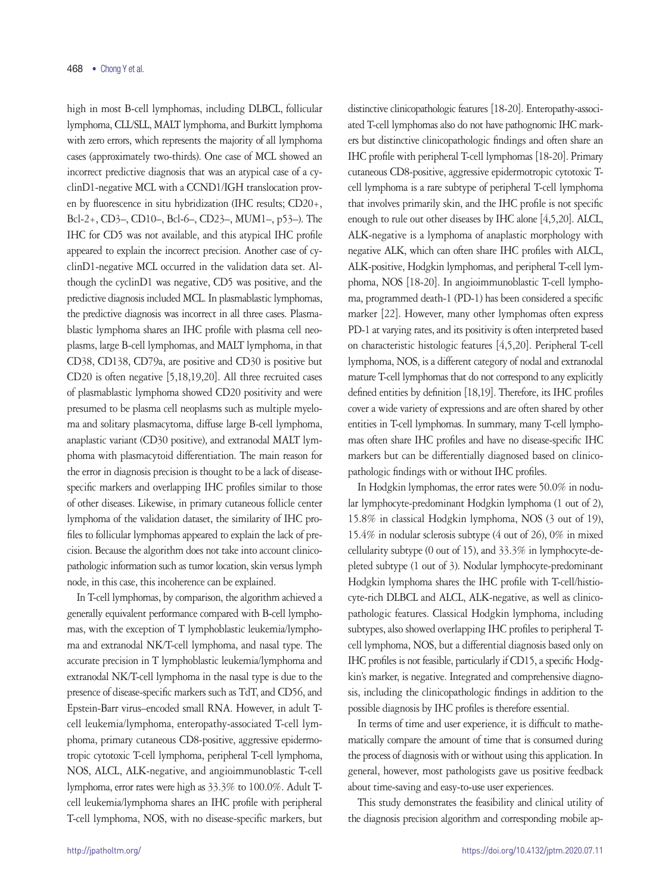high in most B-cell lymphomas, including DLBCL, follicular lymphoma, CLL/SLL, MALT lymphoma, and Burkitt lymphoma with zero errors, which represents the majority of all lymphoma cases (approximately two-thirds). One case of MCL showed an incorrect predictive diagnosis that was an atypical case of a cyclinD1-negative MCL with a CCND1/IGH translocation proven by fluorescence in situ hybridization (IHC results; CD20+, Bcl-2+, CD3–, CD10–, Bcl-6–, CD23–, MUM1–, p53–). The IHC for CD5 was not available, and this atypical IHC profile appeared to explain the incorrect precision. Another case of cyclinD1-negative MCL occurred in the validation data set. Although the cyclinD1 was negative, CD5 was positive, and the predictive diagnosis included MCL. In plasmablastic lymphomas, the predictive diagnosis was incorrect in all three cases. Plasmablastic lymphoma shares an IHC profile with plasma cell neoplasms, large B-cell lymphomas, and MALT lymphoma, in that CD38, CD138, CD79a, are positive and CD30 is positive but CD20 is often negative [5,18,19,20]. All three recruited cases of plasmablastic lymphoma showed CD20 positivity and were presumed to be plasma cell neoplasms such as multiple myeloma and solitary plasmacytoma, diffuse large B-cell lymphoma, anaplastic variant (CD30 positive), and extranodal MALT lymphoma with plasmacytoid differentiation. The main reason for the error in diagnosis precision is thought to be a lack of diseasespecific markers and overlapping IHC profiles similar to those of other diseases. Likewise, in primary cutaneous follicle center lymphoma of the validation dataset, the similarity of IHC profiles to follicular lymphomas appeared to explain the lack of precision. Because the algorithm does not take into account clinicopathologic information such as tumor location, skin versus lymph node, in this case, this incoherence can be explained.

In T-cell lymphomas, by comparison, the algorithm achieved a generally equivalent performance compared with B-cell lymphomas, with the exception of T lymphoblastic leukemia/lymphoma and extranodal NK/T-cell lymphoma, and nasal type. The accurate precision in T lymphoblastic leukemia/lymphoma and extranodal NK/T-cell lymphoma in the nasal type is due to the presence of disease-specific markers such as TdT, and CD56, and Epstein-Barr virus–encoded small RNA. However, in adult Tcell leukemia/lymphoma, enteropathy-associated T-cell lymphoma, primary cutaneous CD8-positive, aggressive epidermotropic cytotoxic T-cell lymphoma, peripheral T-cell lymphoma, NOS, ALCL, ALK-negative, and angioimmunoblastic T-cell lymphoma, error rates were high as 33.3% to 100.0%. Adult Tcell leukemia/lymphoma shares an IHC profile with peripheral T-cell lymphoma, NOS, with no disease-specific markers, but distinctive clinicopathologic features [18-20]. Enteropathy-associated T-cell lymphomas also do not have pathognomic IHC markers but distinctive clinicopathologic findings and often share an IHC profile with peripheral T-cell lymphomas [18-20]. Primary cutaneous CD8-positive, aggressive epidermotropic cytotoxic Tcell lymphoma is a rare subtype of peripheral T-cell lymphoma that involves primarily skin, and the IHC profile is not specific enough to rule out other diseases by IHC alone [4,5,20]. ALCL, ALK-negative is a lymphoma of anaplastic morphology with negative ALK, which can often share IHC profiles with ALCL, ALK-positive, Hodgkin lymphomas, and peripheral T-cell lymphoma, NOS [18-20]. In angioimmunoblastic T-cell lymphoma, programmed death-1 (PD-1) has been considered a specific marker [22]. However, many other lymphomas often express PD-1 at varying rates, and its positivity is often interpreted based on characteristic histologic features [4,5,20]. Peripheral T-cell lymphoma, NOS, is a different category of nodal and extranodal mature T-cell lymphomas that do not correspond to any explicitly defined entities by definition [18,19]. Therefore, its IHC profiles cover a wide variety of expressions and are often shared by other entities in T-cell lymphomas. In summary, many T-cell lymphomas often share IHC profiles and have no disease-specific IHC markers but can be differentially diagnosed based on clinicopathologic findings with or without IHC profiles.

In Hodgkin lymphomas, the error rates were 50.0% in nodular lymphocyte-predominant Hodgkin lymphoma (1 out of 2), 15.8% in classical Hodgkin lymphoma, NOS (3 out of 19), 15.4% in nodular sclerosis subtype (4 out of 26), 0% in mixed cellularity subtype (0 out of 15), and 33.3% in lymphocyte-depleted subtype (1 out of 3). Nodular lymphocyte-predominant Hodgkin lymphoma shares the IHC profile with T-cell/histiocyte-rich DLBCL and ALCL, ALK-negative, as well as clinicopathologic features. Classical Hodgkin lymphoma, including subtypes, also showed overlapping IHC profiles to peripheral Tcell lymphoma, NOS, but a differential diagnosis based only on IHC profiles is not feasible, particularly if CD15, a specific Hodgkin's marker, is negative. Integrated and comprehensive diagnosis, including the clinicopathologic findings in addition to the possible diagnosis by IHC profiles is therefore essential.

In terms of time and user experience, it is difficult to mathematically compare the amount of time that is consumed during the process of diagnosis with or without using this application. In general, however, most pathologists gave us positive feedback about time-saving and easy-to-use user experiences.

This study demonstrates the feasibility and clinical utility of the diagnosis precision algorithm and corresponding mobile ap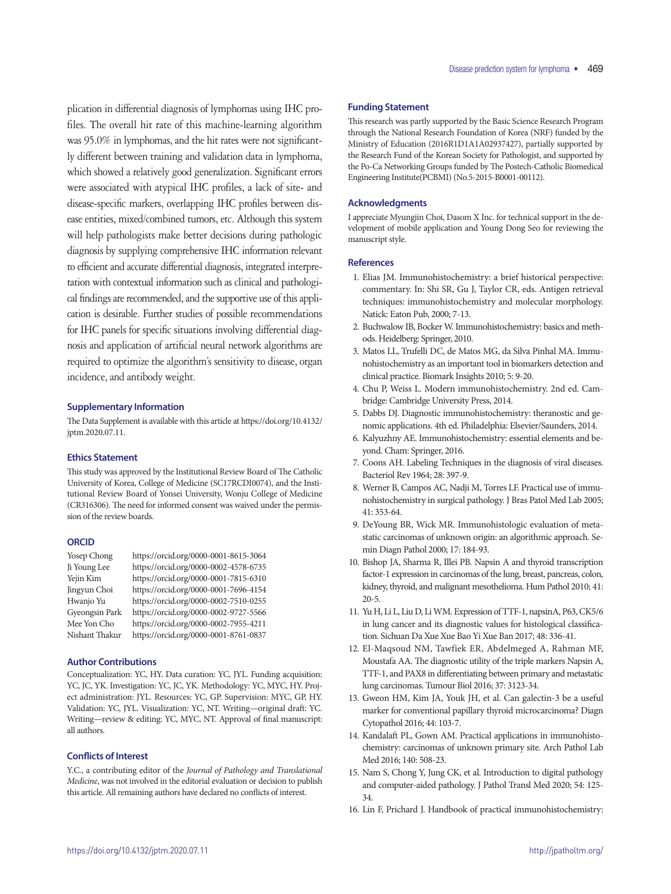plication in differential diagnosis of lymphomas using IHC profiles. The overall hit rate of this machine-learning algorithm was 95.0% in lymphomas, and the hit rates were not significantly different between training and validation data in lymphoma, which showed a relatively good generalization. Significant errors were associated with atypical IHC profiles, a lack of site- and disease-specific markers, overlapping IHC profiles between disease entities, mixed/combined tumors, etc. Although this system will help pathologists make better decisions during pathologic diagnosis by supplying comprehensive IHC information relevant to efficient and accurate differential diagnosis, integrated interpretation with contextual information such as clinical and pathological findings are recommended, and the supportive use of this application is desirable. Further studies of possible recommendations for IHC panels for specific situations involving differential diagnosis and application of artificial neural network algorithms are required to optimize the algorithm's sensitivity to disease, organ incidence, and antibody weight.

#### **Supplementary Information**

The Data Supplement is available with this article at https://doi.org/10.4132/ jptm.2020.07.11.

#### **Ethics Statement**

This study was approved by the Institutional Review Board of The Catholic University of Korea, College of Medicine (SC17RCDI0074), and the Institutional Review Board of Yonsei University, Wonju College of Medicine (CR316306). The need for informed consent was waived under the permission of the review boards.

#### **ORCID**

| Yosep Chong    | https://orcid.org/0000-0001-8615-3064 |
|----------------|---------------------------------------|
| Ji Young Lee   | https://orcid.org/0000-0002-4578-6735 |
| Yejin Kim      | https://orcid.org/0000-0001-7815-6310 |
| Jingyun Choi   | https://orcid.org/0000-0001-7696-4154 |
| Hwanjo Yu      | https://orcid.org/0000-0002-7510-0255 |
| Gyeongsin Park | https://orcid.org/0000-0002-9727-5566 |
| Mee Yon Cho    | https://orcid.org/0000-0002-7955-4211 |
| Nishant Thakur | https://orcid.org/0000-0001-8761-0837 |

### **Author Contributions**

Conceptualization: YC, HY. Data curation: YC, JYL. Funding acquisition: YC, JC, YK. Investigation: YC, JC, YK. Methodology: YC, MYC, HY. Project administration: JYL. Resources: YC, GP. Supervision: MYC, GP, HY. Validation: YC, JYL. Visualization: YC, NT. Writing—original draft: YC. Writing—review & editing: YC, MYC, NT. Approval of final manuscript: all authors.

### **Conflicts of Interest**

Y.C., a contributing editor of the *Journal of Pathology and Translational Medicine*, was not involved in the editorial evaluation or decision to publish this article. All remaining authors have declared no conflicts of interest.

### **Funding Statement**

This research was partly supported by the Basic Science Research Program through the National Research Foundation of Korea (NRF) funded by the Ministry of Education (2016R1D1A1A02937427), partially supported by the Research Fund of the Korean Society for Pathologist, and supported by the Po-Ca Networking Groups funded by The Postech-Catholic Biomedical Engineering Institute(PCBMI) (No.5-2015-B0001-00112).

### **Acknowledgments**

I appreciate Myungjin Choi, Dasom X Inc. for technical support in the development of mobile application and Young Dong Seo for reviewing the manuscript style.

### **References**

- 1. Elias JM. Immunohistochemistry: a brief historical perspective: commentary. In: Shi SR, Gu J, Taylor CR, eds. Antigen retrieval techniques: immunohistochemistry and molecular morphology. Natick: Eaton Pub, 2000; 7-13.
- 2. Buchwalow IB, Bocker W. Immunohistochemistry: basics and methods. Heidelberg: Springer, 2010.
- 3. Matos LL, Trufelli DC, de Matos MG, da Silva Pinhal MA. Immunohistochemistry as an important tool in biomarkers detection and clinical practice. Biomark Insights 2010; 5: 9-20.
- 4. Chu P, Weiss L. Modern immunohistochemistry. 2nd ed. Cambridge: Cambridge University Press, 2014.
- 5. Dabbs DJ. Diagnostic immunohistochemistry: theranostic and genomic applications. 4th ed. Philadelphia: Elsevier/Saunders, 2014.
- 6. Kalyuzhny AE. Immunohistochemistry: essential elements and beyond. Cham: Springer, 2016.
- 7. Coons AH. Labeling Techniques in the diagnosis of viral diseases. Bacteriol Rev 1964; 28: 397-9.
- 8. Werner B, Campos AC, Nadji M, Torres LF. Practical use of immunohistochemistry in surgical pathology. J Bras Patol Med Lab 2005; 41: 353-64.
- 9. DeYoung BR, Wick MR. Immunohistologic evaluation of metastatic carcinomas of unknown origin: an algorithmic approach. Semin Diagn Pathol 2000; 17: 184-93.
- 10. Bishop JA, Sharma R, Illei PB. Napsin A and thyroid transcription factor-1 expression in carcinomas of the lung, breast, pancreas, colon, kidney, thyroid, and malignant mesothelioma. Hum Pathol 2010; 41: 20-5.
- 11. Yu H, Li L, Liu D, Li WM. Expression of TTF-1, napsinA, P63, CK5/6 in lung cancer and its diagnostic values for histological classification. Sichuan Da Xue Xue Bao Yi Xue Ban 2017; 48: 336-41.
- 12. El-Maqsoud NM, Tawfiek ER, Abdelmeged A, Rahman MF, Moustafa AA. The diagnostic utility of the triple markers Napsin A, TTF-1, and PAX8 in differentiating between primary and metastatic lung carcinomas. Tumour Biol 2016; 37: 3123-34.
- 13. Gweon HM, Kim JA, Youk JH, et al. Can galectin-3 be a useful marker for conventional papillary thyroid microcarcinoma? Diagn Cytopathol 2016; 44: 103-7.
- 14. Kandalaft PL, Gown AM. Practical applications in immunohistochemistry: carcinomas of unknown primary site. Arch Pathol Lab Med 2016; 140: 508-23.
- 15. Nam S, Chong Y, Jung CK, et al. Introduction to digital pathology and computer-aided pathology. J Pathol Transl Med 2020; 54: 125- 34.
- 16. Lin F, Prichard J. Handbook of practical immunohistochemistry: